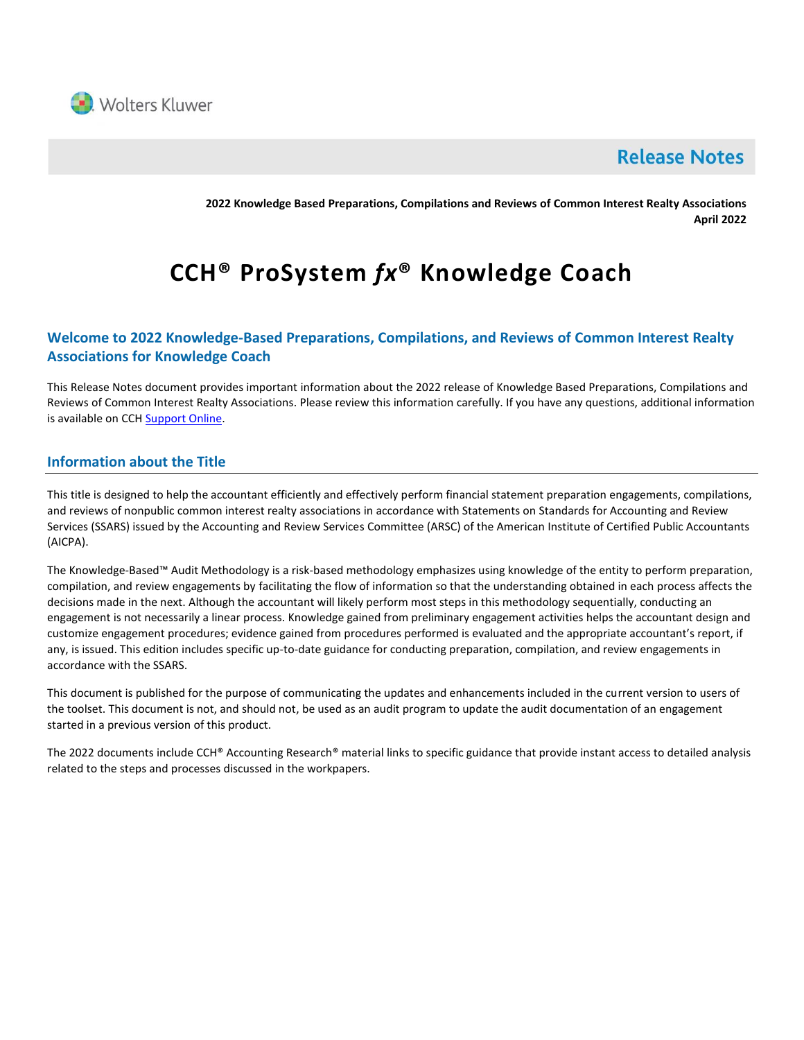

# **Release Notes**

**2022 Knowledge Based Preparations, Compilations and Reviews of Common Interest Realty Associations April 2022**

# **CCH® ProSystem** *fx***® Knowledge Coach**

# **Welcome to 2022 Knowledge-Based Preparations, Compilations, and Reviews of Common Interest Realty Associations for Knowledge Coach**

This Release Notes document provides important information about the 2022 release of Knowledge Based Preparations, Compilations and Reviews of Common Interest Realty Associations. Please review this information carefully. If you have any questions, additional information is available on CC[H Support Online.](http://support.cch.com/productsupport/)

# **Information about the Title**

This title is designed to help the accountant efficiently and effectively perform financial statement preparation engagements, compilations, and reviews of nonpublic common interest realty associations in accordance with Statements on Standards for Accounting and Review Services (SSARS) issued by the Accounting and Review Services Committee (ARSC) of the American Institute of Certified Public Accountants (AICPA).

The Knowledge-Based™ Audit Methodology is a risk-based methodology emphasizes using knowledge of the entity to perform preparation, compilation, and review engagements by facilitating the flow of information so that the understanding obtained in each process affects the decisions made in the next. Although the accountant will likely perform most steps in this methodology sequentially, conducting an engagement is not necessarily a linear process. Knowledge gained from preliminary engagement activities helps the accountant design and customize engagement procedures; evidence gained from procedures performed is evaluated and the appropriate accountant's report, if any, is issued. This edition includes specific up-to-date guidance for conducting preparation, compilation, and review engagements in accordance with the SSARS.

This document is published for the purpose of communicating the updates and enhancements included in the current version to users of the toolset. This document is not, and should not, be used as an audit program to update the audit documentation of an engagement started in a previous version of this product.

The 2022 documents include CCH® Accounting Research® material links to specific guidance that provide instant access to detailed analysis related to the steps and processes discussed in the workpapers.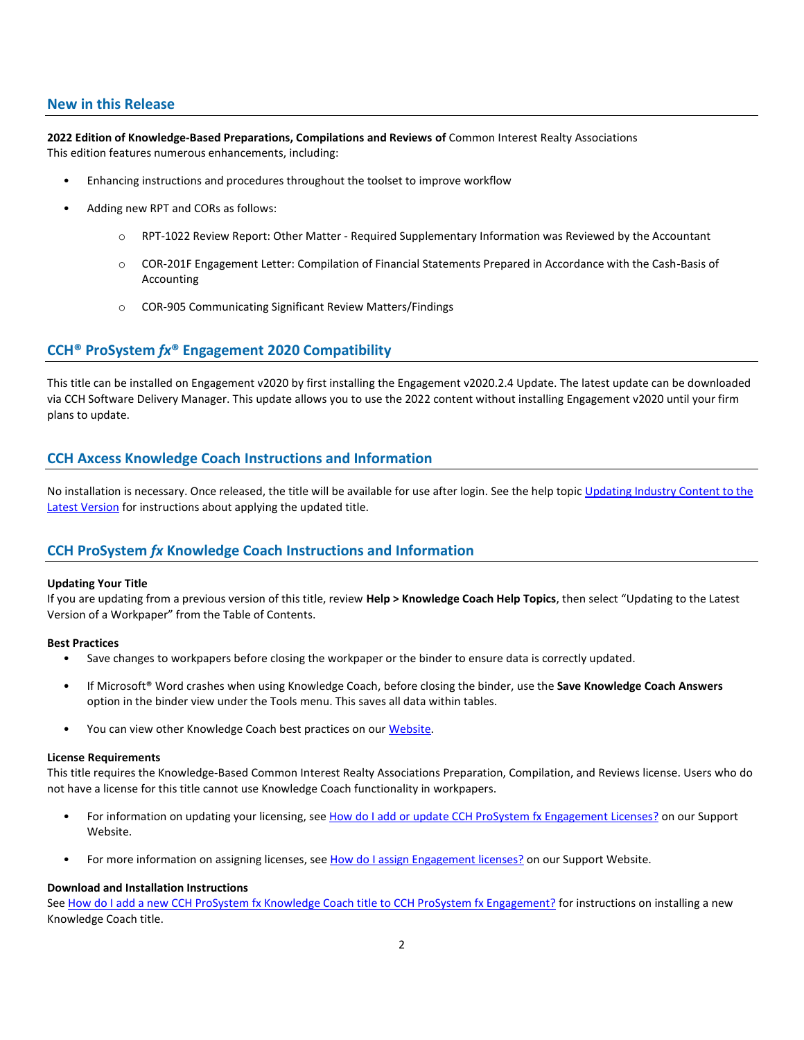#### **New in this Release**

**2022 Edition of Knowledge-Based Preparations, Compilations and Reviews of** Common Interest Realty Associations This edition features numerous enhancements, including:

- Enhancing instructions and procedures throughout the toolset to improve workflow
- Adding new RPT and CORs as follows:
	- o RPT-1022 Review Report: Other Matter Required Supplementary Information was Reviewed by the Accountant
	- o COR-201F Engagement Letter: Compilation of Financial Statements Prepared in Accordance with the Cash-Basis of Accounting
	- o COR-905 Communicating Significant Review Matters/Findings

## **CCH® ProSystem** *fx***® Engagement 2020 Compatibility**

This title can be installed on Engagement v2020 by first installing the Engagement v2020.2.4 Update. The latest update can be downloaded via CCH Software Delivery Manager. This update allows you to use the 2022 content without installing Engagement v2020 until your firm plans to update.

# **CCH Axcess Knowledge Coach Instructions and Information**

No installation is necessary. Once released, the title will be available for use after login. See the help topic Updating Industry Content to the [Latest Version](https://knowledgecoach.cchaxcess.com/Knowledge-Coach/Content/Engagements/Eng-Update-content.htm) for instructions about applying the updated title.

## **CCH ProSystem** *fx* **Knowledge Coach Instructions and Information**

#### **Updating Your Title**

If you are updating from a previous version of this title, review **Help > Knowledge Coach Help Topics**, then select "Updating to the Latest Version of a Workpaper" from the Table of Contents.

#### **Best Practices**

- Save changes to workpapers before closing the workpaper or the binder to ensure data is correctly updated.
- If Microsoft® Word crashes when using Knowledge Coach, before closing the binder, use the **Save Knowledge Coach Answers** option in the binder view under the Tools menu. This saves all data within tables.
- You can view other Knowledge Coach best practices on our [Website.](https://support.cch.com/kb/solution/000034942/sw34947)

#### **License Requirements**

This title requires the Knowledge-Based Common Interest Realty Associations Preparation, Compilation, and Reviews license. Users who do not have a license for this title cannot use Knowledge Coach functionality in workpapers.

- For information on updating your licensing, see [How do I add or update CCH ProSystem fx](https://support.cch.com/kb/solution.aspx/sw3937) Engagement Licenses? on our Support Website.
- For more information on assigning licenses, see [How do I assign Engagement licenses?](https://support.cch.com/kb/solution.aspx/sw3943) on our Support Website.

#### **Download and Installation Instructions**

See How do I add a new CCH ProSystem fx [Knowledge Coach title to CCH ProSystem fx](https://support.cch.com/kb/solution/000033707/sw30271) Engagement? for instructions on installing a new Knowledge Coach title.